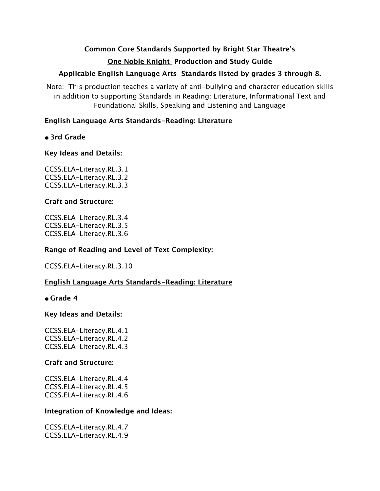# **Common Core Standards Supported by Bright Star Theatre's One Noble Knight Production and Study Guide**

## **Applicable English Language Arts Standards listed by grades 3 through 8.**

Note: This production teaches a variety of anti-bullying and character education skills in addition to supporting Standards in Reading: Literature, Informational Text and Foundational Skills, Speaking and Listening and Language

## **English Language Arts Standards-Reading: Literature**

## **• 3rd Grade**

## **Key Ideas and Details:**

CCSS.ELA-Literacy.RL.3.1 CCSS.ELA-Literacy.RL.3.2 CCSS.ELA-Literacy.RL.3.3

## **Craft and Structure:**

CCSS.ELA-Literacy.RL.3.4 CCSS.ELA-Literacy.RL.3.5 CCSS.ELA-Literacy.RL.3.6

## **Range of Reading and Level of Text Complexity:**

CCSS.ELA-Literacy.RL.3.10

# **English Language Arts Standards-Reading: Literature**

**• Grade 4**

## **Key Ideas and Details:**

CCSS.ELA-Literacy.RL.4.1 CCSS.ELA-Literacy.RL.4.2 CCSS.ELA-Literacy.RL.4.3

## **Craft and Structure:**

CCSS.ELA-Literacy.RL.4.4 CCSS.ELA-Literacy.RL.4.5 CCSS.ELA-Literacy.RL.4.6

## **Integration of Knowledge and Ideas:**

CCSS.ELA-Literacy.RL.4.7 CCSS.ELA-Literacy.RL.4.9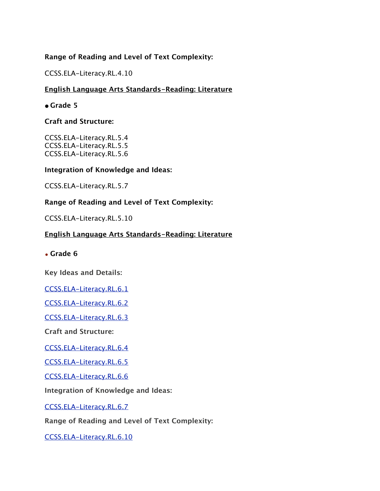## **Range of Reading and Level of Text Complexity:**

CCSS.ELA-Literacy.RL.4.10

## **English Language Arts Standards-Reading: Literature**

## **• Grade 5**

## **Craft and Structure:**

CCSS.ELA-Literacy.RL.5.4 CCSS.ELA-Literacy.RL.5.5 CCSS.ELA-Literacy.RL.5.6

## **Integration of Knowledge and Ideas:**

CCSS.ELA-Literacy.RL.5.7

# **Range of Reading and Level of Text Complexity:**

CCSS.ELA-Literacy.RL.5.10

## **English Language Arts Standards-Reading: Literature**

• **Grade 6**

**Key Ideas and Details:**

[CCSS.ELA-Literacy.RL.6.1](http://www.corestandards.org/ELA-Literacy/RL/6/1/)

[CCSS.ELA-Literacy.RL.6.2](http://www.corestandards.org/ELA-Literacy/RL/6/2/)

[CCSS.ELA-Literacy.RL.6.3](http://www.corestandards.org/ELA-Literacy/RL/6/3/)

**Craft and Structure:**

[CCSS.ELA-Literacy.RL.6.4](http://www.corestandards.org/ELA-Literacy/RL/6/4/)

[CCSS.ELA-Literacy.RL.6.5](http://www.corestandards.org/ELA-Literacy/RL/6/5/)

[CCSS.ELA-Literacy.RL.6.6](http://www.corestandards.org/ELA-Literacy/RL/6/6/)

**Integration of Knowledge and Ideas:**

[CCSS.ELA-Literacy.RL.6.7](http://www.corestandards.org/ELA-Literacy/RL/6/7/)

**Range of Reading and Level of Text Complexity:**

[CCSS.ELA-Literacy.RL.6.10](http://www.corestandards.org/ELA-Literacy/RL/6/10/)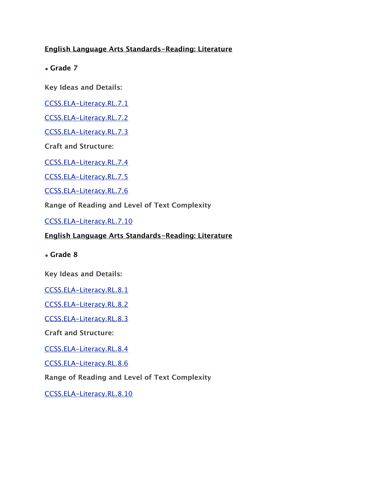## **English Language Arts Standards-Reading: Literature**

• **Grade 7**

**Key Ideas and Details:**

[CCSS.ELA-Literacy.RL.7.1](http://www.corestandards.org/ELA-Literacy/RL/7/1/)

[CCSS.ELA-Literacy.RL.7.2](http://www.corestandards.org/ELA-Literacy/RL/7/2/)

[CCSS.ELA-Literacy.RL.7.3](http://www.corestandards.org/ELA-Literacy/RL/7/3/)

**Craft and Structure:**

[CCSS.ELA-Literacy.RL.7.4](http://www.corestandards.org/ELA-Literacy/RL/7/4/)

[CCSS.ELA-Literacy.RL.7.5](http://www.corestandards.org/ELA-Literacy/RL/7/5/)

[CCSS.ELA-Literacy.RL.7.6](http://www.corestandards.org/ELA-Literacy/RL/7/6/)

**Range of Reading and Level of Text Complexity**

[CCSS.ELA-Literacy.RL.7.10](http://www.corestandards.org/ELA-Literacy/RL/7/10/)

### **English Language Arts Standards-Reading: Literature**

• **Grade 8**

**Key Ideas and Details:**

[CCSS.ELA-Literacy.RL.8.1](http://www.corestandards.org/ELA-Literacy/RL/8/1/)

[CCSS.ELA-Literacy.RL.8.2](http://www.corestandards.org/ELA-Literacy/RL/8/2/)

[CCSS.ELA-Literacy.RL.8.3](http://www.corestandards.org/ELA-Literacy/RL/8/3/)

**Craft and Structure:**

[CCSS.ELA-Literacy.RL.8.4](http://www.corestandards.org/ELA-Literacy/RL/8/4/)

[CCSS.ELA-Literacy.RL.8.6](http://www.corestandards.org/ELA-Literacy/RL/8/6/)

**Range of Reading and Level of Text Complexity**

[CCSS.ELA-Literacy.RL.8.10](http://www.corestandards.org/ELA-Literacy/RL/8/10/)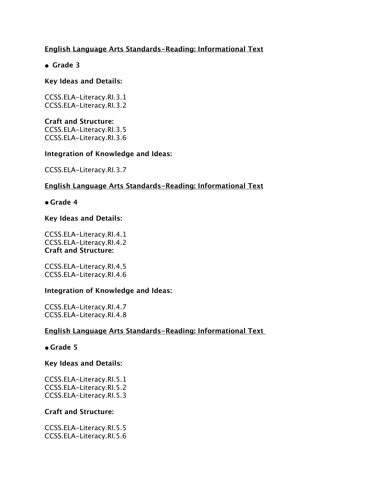## **English Language Arts Standards-Reading: Informational Text**

**• Grade 3**

### **Key Ideas and Details:**

CCSS.ELA-Literacy.RI.3.1 CCSS.ELA-Literacy.RI.3.2

**Craft and Structure:** CCSS.ELA-Literacy.RI.3.5 CCSS.ELA-Literacy.RI.3.6

#### **Integration of Knowledge and Ideas:**

CCSS.ELA-Literacy.RI.3.7

## **English Language Arts Standards-Reading: Informational Text**

**• Grade 4**

#### **Key Ideas and Details:**

CCSS.ELA-Literacy.RI.4.1 CCSS.ELA-Literacy.RI.4.2 **Craft and Structure:**

CCSS.ELA-Literacy.RI.4.5 CCSS.ELA-Literacy.RI.4.6

#### **Integration of Knowledge and Ideas:**

CCSS.ELA-Literacy.RI.4.7 CCSS.ELA-Literacy.RI.4.8

## **English Language Arts Standards-Reading: Informational Text**

#### **• Grade 5**

**Key Ideas and Details:**

CCSS.ELA-Literacy.RI.5.1 CCSS.ELA-Literacy.RI.5.2 CCSS.ELA-Literacy.RI.5.3

#### **Craft and Structure:**

CCSS.ELA-Literacy.RI.5.5 CCSS.ELA-Literacy.RI.5.6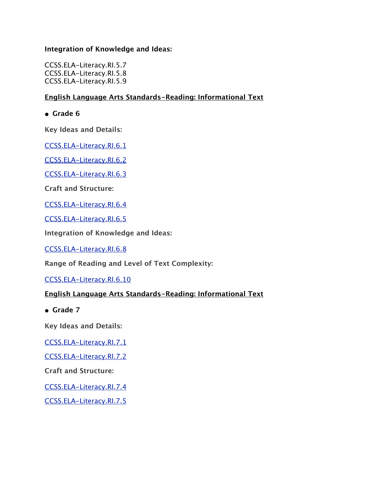## **Integration of Knowledge and Ideas:**

CCSS.ELA-Literacy.RI.5.7 CCSS.ELA-Literacy.RI.5.8 CCSS.ELA-Literacy.RI.5.9

## **English Language Arts Standards-Reading: Informational Text**

**• Grade 6**

**Key Ideas and Details:**

[CCSS.ELA-Literacy.RI.6.1](http://www.corestandards.org/ELA-Literacy/RI/6/1/)

[CCSS.ELA-Literacy.RI.6.2](http://www.corestandards.org/ELA-Literacy/RI/6/2/)

[CCSS.ELA-Literacy.RI.6.3](http://www.corestandards.org/ELA-Literacy/RI/6/3/)

**Craft and Structure:**

[CCSS.ELA-Literacy.RI.6.4](http://www.corestandards.org/ELA-Literacy/RI/6/4/)

[CCSS.ELA-Literacy.RI.6.5](http://www.corestandards.org/ELA-Literacy/RI/6/5/)

**Integration of Knowledge and Ideas:**

[CCSS.ELA-Literacy.RI.6.8](http://www.corestandards.org/ELA-Literacy/RI/6/8/)

**Range of Reading and Level of Text Complexity:**

[CCSS.ELA-Literacy.RI.6.10](http://www.corestandards.org/ELA-Literacy/RI/6/10/)

## **English Language Arts Standards-Reading: Informational Text**

**• Grade 7**

**Key Ideas and Details:**

[CCSS.ELA-Literacy.RI.7.1](http://www.corestandards.org/ELA-Literacy/RI/7/1/)

[CCSS.ELA-Literacy.RI.7.2](http://www.corestandards.org/ELA-Literacy/RI/7/2/)

**Craft and Structure:**

[CCSS.ELA-Literacy.RI.7.4](http://www.corestandards.org/ELA-Literacy/RI/7/4/)

[CCSS.ELA-Literacy.RI.7.5](http://www.corestandards.org/ELA-Literacy/RI/7/5/)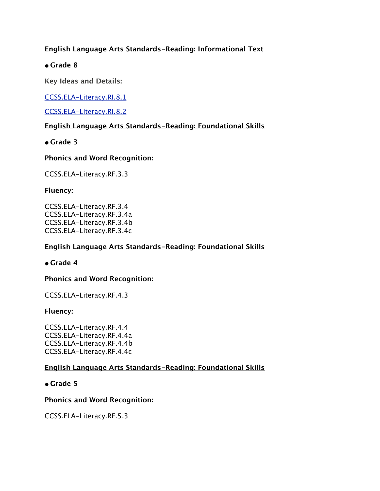## **English Language Arts Standards-Reading: Informational Text**

## **• Grade 8**

**Key Ideas and Details:**

[CCSS.ELA-Literacy.RI.8.1](http://www.corestandards.org/ELA-Literacy/RI/8/1/)

[CCSS.ELA-Literacy.RI.8.2](http://www.corestandards.org/ELA-Literacy/RI/8/2/)

## **English Language Arts Standards-Reading: Foundational Skills**

## **• Grade 3**

## **Phonics and Word Recognition:**

CCSS.ELA-Literacy.RF.3.3

## **Fluency:**

CCSS.ELA-Literacy.RF.3.4 CCSS.ELA-Literacy.RF.3.4a CCSS.ELA-Literacy.RF.3.4b CCSS.ELA-Literacy.RF.3.4c

## **English Language Arts Standards-Reading: Foundational Skills**

**• Grade 4**

## **Phonics and Word Recognition:**

CCSS.ELA-Literacy.RF.4.3

## **Fluency:**

CCSS.ELA-Literacy.RF.4.4 CCSS.ELA-Literacy.RF.4.4a CCSS.ELA-Literacy.RF.4.4b CCSS.ELA-Literacy.RF.4.4c

## **English Language Arts Standards-Reading: Foundational Skills**

## **• Grade 5**

## **Phonics and Word Recognition:**

CCSS.ELA-Literacy.RF.5.3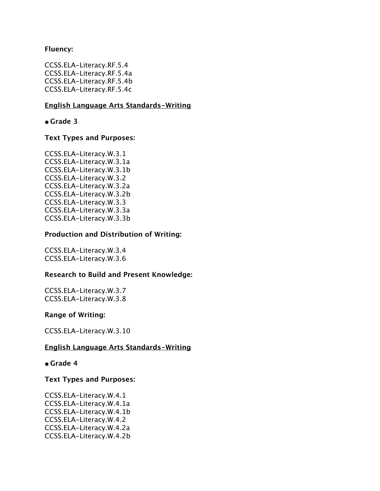#### **Fluency:**

CCSS.ELA-Literacy.RF.5.4 CCSS.ELA-Literacy.RF.5.4a CCSS.ELA-Literacy.RF.5.4b CCSS.ELA-Literacy.RF.5.4c

### **English Language Arts Standards-Writing**

**• Grade 3**

### **Text Types and Purposes:**

CCSS.ELA-Literacy.W.3.1 CCSS.ELA-Literacy.W.3.1a CCSS.ELA-Literacy.W.3.1b CCSS.ELA-Literacy.W.3.2 CCSS.ELA-Literacy.W.3.2a CCSS.ELA-Literacy.W.3.2b CCSS.ELA-Literacy.W.3.3 CCSS.ELA-Literacy.W.3.3a CCSS.ELA-Literacy.W.3.3b

#### **Production and Distribution of Writing:**

CCSS.ELA-Literacy.W.3.4 CCSS.ELA-Literacy.W.3.6

#### **Research to Build and Present Knowledge:**

CCSS.ELA-Literacy.W.3.7 CCSS.ELA-Literacy.W.3.8

#### **Range of Writing:**

CCSS.ELA-Literacy.W.3.10

#### **English Language Arts Standards-Writing**

#### **• Grade 4**

#### **Text Types and Purposes:**

CCSS.ELA-Literacy.W.4.1 CCSS.ELA-Literacy.W.4.1a CCSS.ELA-Literacy.W.4.1b CCSS.ELA-Literacy.W.4.2 CCSS.ELA-Literacy.W.4.2a CCSS.ELA-Literacy.W.4.2b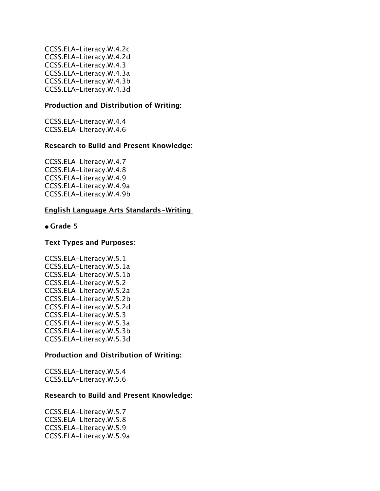CCSS.ELA-Literacy.W.4.2c CCSS.ELA-Literacy.W.4.2d CCSS.ELA-Literacy.W.4.3 CCSS.ELA-Literacy.W.4.3a CCSS.ELA-Literacy.W.4.3b CCSS.ELA-Literacy.W.4.3d

#### **Production and Distribution of Writing:**

CCSS.ELA-Literacy.W.4.4 CCSS.ELA-Literacy.W.4.6

#### **Research to Build and Present Knowledge:**

CCSS.ELA-Literacy.W.4.7 CCSS.ELA-Literacy.W.4.8 CCSS.ELA-Literacy.W.4.9 CCSS.ELA-Literacy.W.4.9a CCSS.ELA-Literacy.W.4.9b

#### **English Language Arts Standards-Writing**

#### **• Grade 5**

#### **Text Types and Purposes:**

CCSS.ELA-Literacy.W.5.1 CCSS.ELA-Literacy.W.5.1a CCSS.ELA-Literacy.W.5.1b CCSS.ELA-Literacy.W.5.2 CCSS.ELA-Literacy.W.5.2a CCSS.ELA-Literacy.W.5.2b CCSS.ELA-Literacy.W.5.2d CCSS.ELA-Literacy.W.5.3 CCSS.ELA-Literacy.W.5.3a CCSS.ELA-Literacy.W.5.3b CCSS.ELA-Literacy.W.5.3d

#### **Production and Distribution of Writing:**

CCSS.ELA-Literacy.W.5.4 CCSS.ELA-Literacy.W.5.6

#### **Research to Build and Present Knowledge:**

CCSS.ELA-Literacy.W.5.7 CCSS.ELA-Literacy.W.5.8 CCSS.ELA-Literacy.W.5.9 CCSS.ELA-Literacy.W.5.9a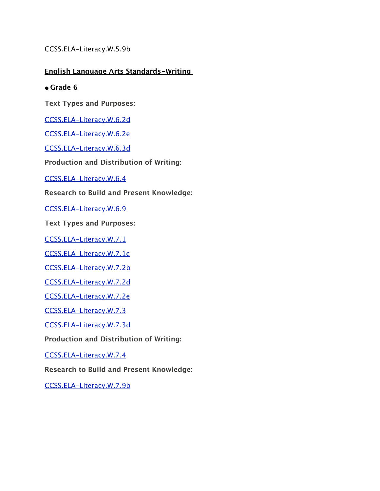CCSS.ELA-Literacy.W.5.9b

**English Language Arts Standards-Writing** 

**• Grade 6**

**Text Types and Purposes:**

[CCSS.ELA-Literacy.W.6.2d](http://www.corestandards.org/ELA-Literacy/W/6/2/d/)

[CCSS.ELA-Literacy.W.6.2e](http://www.corestandards.org/ELA-Literacy/W/6/2/e/)

[CCSS.ELA-Literacy.W.6.3d](http://www.corestandards.org/ELA-Literacy/W/6/3/d/)

**Production and Distribution of Writing:**

[CCSS.ELA-Literacy.W.6.4](http://www.corestandards.org/ELA-Literacy/W/6/4/)

**Research to Build and Present Knowledge:**

[CCSS.ELA-Literacy.W.6.9](http://www.corestandards.org/ELA-Literacy/W/6/9/)

**Text Types and Purposes:**

[CCSS.ELA-Literacy.W.7.1](http://www.corestandards.org/ELA-Literacy/W/7/1/)

[CCSS.ELA-Literacy.W.7.1c](http://www.corestandards.org/ELA-Literacy/W/7/1/c/)

[CCSS.ELA-Literacy.W.7.2b](http://www.corestandards.org/ELA-Literacy/W/7/2/b/)

[CCSS.ELA-Literacy.W.7.2d](http://www.corestandards.org/ELA-Literacy/W/7/2/d/)

[CCSS.ELA-Literacy.W.7.2e](http://www.corestandards.org/ELA-Literacy/W/7/2/e/)

[CCSS.ELA-Literacy.W.7.3](http://www.corestandards.org/ELA-Literacy/W/7/3/)

[CCSS.ELA-Literacy.W.7.3d](http://www.corestandards.org/ELA-Literacy/W/7/3/d/)

**Production and Distribution of Writing:**

[CCSS.ELA-Literacy.W.7.4](http://www.corestandards.org/ELA-Literacy/W/7/4/)

**Research to Build and Present Knowledge:**

[CCSS.ELA-Literacy.W.7.9b](http://www.corestandards.org/ELA-Literacy/W/7/9/b/)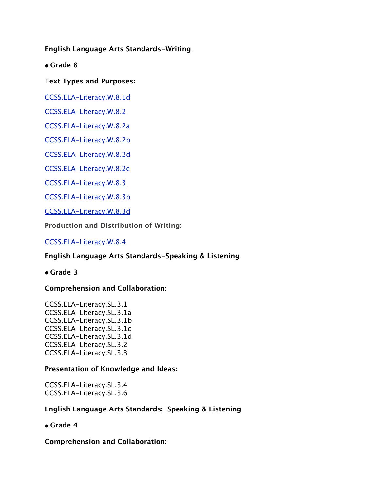**English Language Arts Standards-Writing** 

**• Grade 8**

## **Text Types and Purposes:**

[CCSS.ELA-Literacy.W.8.1d](http://www.corestandards.org/ELA-Literacy/W/8/1/d/)

[CCSS.ELA-Literacy.W.8.2](http://www.corestandards.org/ELA-Literacy/W/8/2/)

[CCSS.ELA-Literacy.W.8.2a](http://www.corestandards.org/ELA-Literacy/W/8/2/a/)

[CCSS.ELA-Literacy.W.8.2b](http://www.corestandards.org/ELA-Literacy/W/8/2/b/)

[CCSS.ELA-Literacy.W.8.2d](http://www.corestandards.org/ELA-Literacy/W/8/2/d/)

[CCSS.ELA-Literacy.W.8.2e](http://www.corestandards.org/ELA-Literacy/W/8/2/e/)

[CCSS.ELA-Literacy.W.8.3](http://www.corestandards.org/ELA-Literacy/W/8/3/)

[CCSS.ELA-Literacy.W.8.3b](http://www.corestandards.org/ELA-Literacy/W/8/3/b/)

[CCSS.ELA-Literacy.W.8.3d](http://www.corestandards.org/ELA-Literacy/W/8/3/d/)

**Production and Distribution of Writing:**

[CCSS.ELA-Literacy.W.8.4](http://www.corestandards.org/ELA-Literacy/W/8/4/)

## **English Language Arts Standards-Speaking & Listening**

**• Grade 3**

## **Comprehension and Collaboration:**

CCSS.ELA-Literacy.SL.3.1 CCSS.ELA-Literacy.SL.3.1a CCSS.ELA-Literacy.SL.3.1b CCSS.ELA-Literacy.SL.3.1c CCSS.ELA-Literacy.SL.3.1d CCSS.ELA-Literacy.SL.3.2 CCSS.ELA-Literacy.SL.3.3

## **Presentation of Knowledge and Ideas:**

CCSS.ELA-Literacy.SL.3.4 CCSS.ELA-Literacy.SL.3.6

## **English Language Arts Standards: Speaking & Listening**

## **• Grade 4**

**Comprehension and Collaboration:**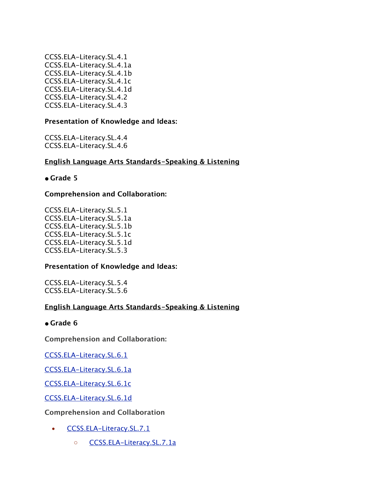CCSS.ELA-Literacy.SL.4.1 CCSS.ELA-Literacy.SL.4.1a CCSS.ELA-Literacy.SL.4.1b CCSS.ELA-Literacy.SL.4.1c CCSS.ELA-Literacy.SL.4.1d CCSS.ELA-Literacy.SL.4.2 CCSS.ELA-Literacy.SL.4.3

### **Presentation of Knowledge and Ideas:**

CCSS.ELA-Literacy.SL.4.4 CCSS.ELA-Literacy.SL.4.6

### **English Language Arts Standards-Speaking & Listening**

### **• Grade 5**

### **Comprehension and Collaboration:**

CCSS.ELA-Literacy.SL.5.1 CCSS.ELA-Literacy.SL.5.1a CCSS.ELA-Literacy.SL.5.1b CCSS.ELA-Literacy.SL.5.1c CCSS.ELA-Literacy.SL.5.1d CCSS.ELA-Literacy.SL.5.3

#### **Presentation of Knowledge and Ideas:**

CCSS.ELA-Literacy.SL.5.4 CCSS.ELA-Literacy.SL.5.6

#### **English Language Arts Standards-Speaking & Listening**

#### **• Grade 6**

**Comprehension and Collaboration:**

[CCSS.ELA-Literacy.SL.6.1](http://www.corestandards.org/ELA-Literacy/SL/6/1/)

[CCSS.ELA-Literacy.SL.6.1a](http://www.corestandards.org/ELA-Literacy/SL/6/1/a/)

[CCSS.ELA-Literacy.SL.6.1c](http://www.corestandards.org/ELA-Literacy/SL/6/1/c/)

[CCSS.ELA-Literacy.SL.6.1d](http://www.corestandards.org/ELA-Literacy/SL/6/1/d/)

**Comprehension and Collaboration**

- [CCSS.ELA-Literacy.SL.7.1](http://www.corestandards.org/ELA-Literacy/SL/7/1/)
	- [CCSS.ELA-Literacy.SL.7.1a](http://www.corestandards.org/ELA-Literacy/SL/7/1/a/)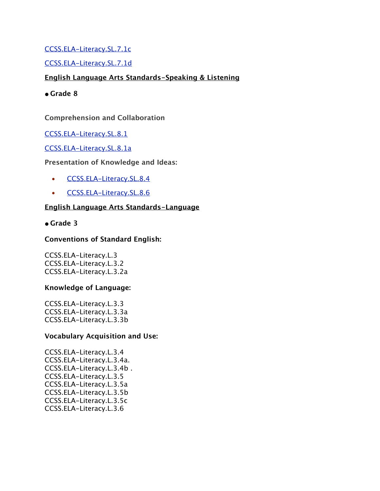## [CCSS.ELA-Literacy.SL.7.1c](http://www.corestandards.org/ELA-Literacy/SL/7/1/c/)

## [CCSS.ELA-Literacy.SL.7.1d](http://www.corestandards.org/ELA-Literacy/SL/7/1/d/)

## **English Language Arts Standards-Speaking & Listening**

**• Grade 8**

### **Comprehension and Collaboration**

### [CCSS.ELA-Literacy.SL.8.1](http://www.corestandards.org/ELA-Literacy/SL/8/1/)

### [CCSS.ELA-Literacy.SL.8.1a](http://www.corestandards.org/ELA-Literacy/SL/8/1/a/)

### **Presentation of Knowledge and Ideas:**

- [CCSS.ELA-Literacy.SL.8.4](http://www.corestandards.org/ELA-Literacy/SL/8/4/)
- [CCSS.ELA-Literacy.SL.8.6](http://www.corestandards.org/ELA-Literacy/SL/8/6/)

### **English Language Arts Standards-Language**

### **• Grade 3**

### **Conventions of Standard English:**

CCSS.ELA-Literacy.L.3 CCSS.ELA-Literacy.L.3.2 CCSS.ELA-Literacy.L.3.2a

#### **Knowledge of Language:**

CCSS.ELA-Literacy.L.3.3 CCSS.ELA-Literacy.L.3.3a CCSS.ELA-Literacy.L.3.3b

#### **Vocabulary Acquisition and Use:**

CCSS.ELA-Literacy.L.3.4 CCSS.ELA-Literacy.L.3.4a. CCSS.ELA-Literacy.L.3.4b . CCSS.ELA-Literacy.L.3.5 CCSS.ELA-Literacy.L.3.5a CCSS.ELA-Literacy.L.3.5b CCSS.ELA-Literacy.L.3.5c CCSS.ELA-Literacy.L.3.6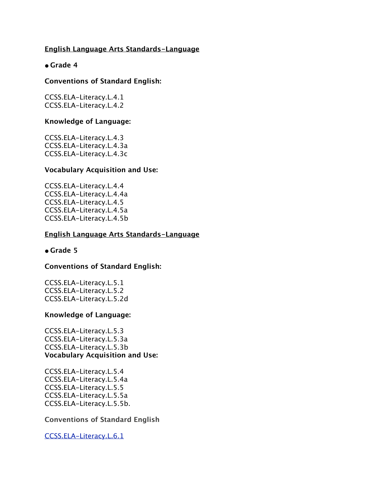### **English Language Arts Standards-Language**

### **• Grade 4**

#### **Conventions of Standard English:**

CCSS.ELA-Literacy.L.4.1 CCSS.ELA-Literacy.L.4.2

#### **Knowledge of Language:**

CCSS.ELA-Literacy.L.4.3 CCSS.ELA-Literacy.L.4.3a CCSS.ELA-Literacy.L.4.3c

#### **Vocabulary Acquisition and Use:**

CCSS.ELA-Literacy.L.4.4 CCSS.ELA-Literacy.L.4.4a CCSS.ELA-Literacy.L.4.5 CCSS.ELA-Literacy.L.4.5a CCSS.ELA-Literacy.L.4.5b

#### **English Language Arts Standards-Language**

#### **• Grade 5**

#### **Conventions of Standard English:**

CCSS.ELA-Literacy.L.5.1 CCSS.ELA-Literacy.L.5.2 CCSS.ELA-Literacy.L.5.2d

### **Knowledge of Language:**

CCSS.ELA-Literacy.L.5.3 CCSS.ELA-Literacy.L.5.3a CCSS.ELA-Literacy.L.5.3b **Vocabulary Acquisition and Use:**

CCSS.ELA-Literacy.L.5.4 CCSS.ELA-Literacy.L.5.4a CCSS.ELA-Literacy.L.5.5 CCSS.ELA-Literacy.L.5.5a CCSS.ELA-Literacy.L.5.5b.

**Conventions of Standard English**

[CCSS.ELA-Literacy.L.6.1](http://www.corestandards.org/ELA-Literacy/L/6/1/)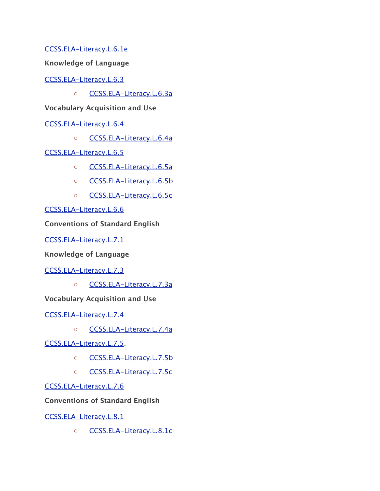[CCSS.ELA-Literacy.L.6.1e](http://www.corestandards.org/ELA-Literacy/L/6/1/e/)

**Knowledge of Language**

[CCSS.ELA-Literacy.L.6.3](http://www.corestandards.org/ELA-Literacy/L/6/3/)

◦ [CCSS.ELA-Literacy.L.6.3a](http://www.corestandards.org/ELA-Literacy/L/6/3/a/)

**Vocabulary Acquisition and Use**

[CCSS.ELA-Literacy.L.6.4](http://www.corestandards.org/ELA-Literacy/L/6/4/)

◦ [CCSS.ELA-Literacy.L.6.4a](http://www.corestandards.org/ELA-Literacy/L/6/4/a/)

[CCSS.ELA-Literacy.L.6.5](http://www.corestandards.org/ELA-Literacy/L/6/5/)

- [CCSS.ELA-Literacy.L.6.5a](http://www.corestandards.org/ELA-Literacy/L/6/5/a/)
- [CCSS.ELA-Literacy.L.6.5b](http://www.corestandards.org/ELA-Literacy/L/6/5/b/)
- [CCSS.ELA-Literacy.L.6.5c](http://www.corestandards.org/ELA-Literacy/L/6/5/c/)

[CCSS.ELA-Literacy.L.6.6](http://www.corestandards.org/ELA-Literacy/L/6/6/)

**Conventions of Standard English**

[CCSS.ELA-Literacy.L.7.1](http://www.corestandards.org/ELA-Literacy/L/7/1/)

**Knowledge of Language**

[CCSS.ELA-Literacy.L.7.3](http://www.corestandards.org/ELA-Literacy/L/7/3/)

◦ [CCSS.ELA-Literacy.L.7.3a](http://www.corestandards.org/ELA-Literacy/L/7/3/a/)

**Vocabulary Acquisition and Use**

[CCSS.ELA-Literacy.L.7.4](http://www.corestandards.org/ELA-Literacy/L/7/4/)

◦ [CCSS.ELA-Literacy.L.7.4a](http://www.corestandards.org/ELA-Literacy/L/7/4/a/)

[CCSS.ELA-Literacy.L.7.5.](http://www.corestandards.org/ELA-Literacy/L/7/5/)

- [CCSS.ELA-Literacy.L.7.5b](http://www.corestandards.org/ELA-Literacy/L/7/5/b/)
- [CCSS.ELA-Literacy.L.7.5c](http://www.corestandards.org/ELA-Literacy/L/7/5/c/)

[CCSS.ELA-Literacy.L.7.6](http://www.corestandards.org/ELA-Literacy/L/7/6/)

**Conventions of Standard English**

[CCSS.ELA-Literacy.L.8.1](http://www.corestandards.org/ELA-Literacy/L/8/1/)

◦ [CCSS.ELA-Literacy.L.8.1c](http://www.corestandards.org/ELA-Literacy/L/8/1/c/)